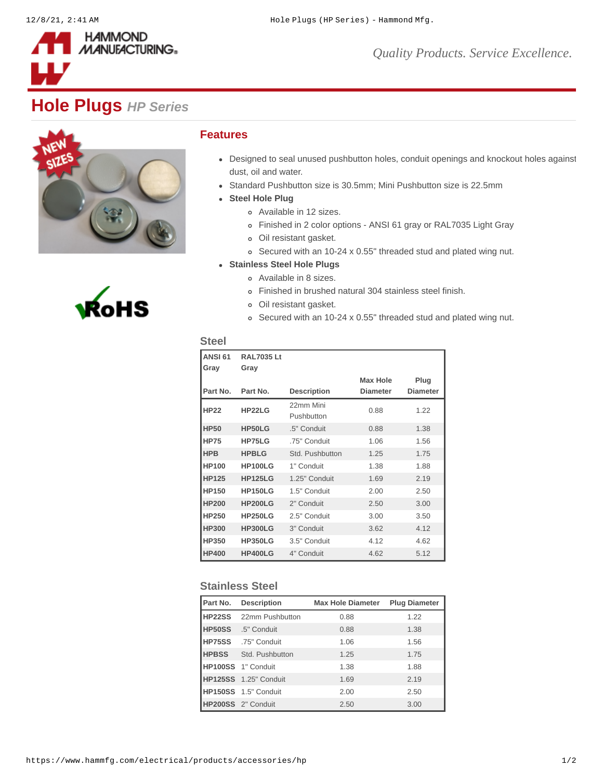

## **Hole Plugs** *HP Series*





## **Features**

- Designed to seal unused pushbutton holes, conduit openings and knockout holes against dust, oil and water.
- Standard Pushbutton size is 30.5mm; Mini Pushbutton size is 22.5mm
- **Steel Hole Plug**
	- Available in 12 sizes.
	- Finished in 2 color options ANSI 61 gray or RAL7035 Light Gray
	- Oil resistant gasket.
	- Secured with an 10-24 x 0.55" threaded stud and plated wing nut.
- **Stainless Steel Hole Plugs**
	- Available in 8 sizes.
	- Finished in brushed natural 304 stainless steel finish.
	- Oil resistant gasket.
	- Secured with an 10-24 x 0.55" threaded stud and plated wing nut.

## **Steel**

| <b>ANSI 61</b> | <b>RAL7035 Lt</b> |                         |                 |                 |
|----------------|-------------------|-------------------------|-----------------|-----------------|
| Gray           | Gray              |                         |                 |                 |
|                |                   |                         | <b>Max Hole</b> | Plug            |
| Part No.       | Part No.          | <b>Description</b>      | <b>Diameter</b> | <b>Diameter</b> |
| <b>HP22</b>    | HP22LG            | 22mm Mini<br>Pushbutton | 0.88            | 1.22            |
| <b>HP50</b>    | HP50LG            | .5" Conduit             | 0.88            | 1.38            |
| <b>HP75</b>    | HP75LG            | .75" Conduit            | 1.06            | 1.56            |
| <b>HPB</b>     | <b>HPBLG</b>      | Std. Pushbutton         | 1.25            | 1.75            |
| <b>HP100</b>   | <b>HP100LG</b>    | 1" Conduit              | 1.38            | 1.88            |
| <b>HP125</b>   | <b>HP125LG</b>    | 1.25" Conduit           | 1.69            | 2.19            |
| <b>HP150</b>   | <b>HP150LG</b>    | 1.5" Conduit            | 2.00            | 2.50            |
| <b>HP200</b>   | <b>HP200LG</b>    | 2" Conduit              | 2.50            | 3.00            |
| HP250          | <b>HP250LG</b>    | 2.5" Conduit            | 3.00            | 3.50            |
| <b>HP300</b>   | <b>HP300LG</b>    | 3" Conduit              | 3.62            | 4.12            |
| HP350          | <b>HP350LG</b>    | 3.5" Conduit            | 4.12            | 4.62            |
| <b>HP400</b>   | <b>HP400LG</b>    | 4" Conduit              | 4.62            | 5.12            |

## **Stainless Steel**

| Part No.           | <b>Description</b>            | <b>Max Hole Diameter</b> | <b>Plug Diameter</b> |
|--------------------|-------------------------------|--------------------------|----------------------|
|                    | <b>HP22SS</b> 22mm Pushbutton | 0.88                     | 1.22                 |
|                    | HP50SS .5" Conduit            | 0.88                     | 1.38                 |
|                    | HP75SS .75" Conduit           | 1.06                     | 1.56                 |
|                    | <b>HPBSS</b> Std. Pushbutton  | 1.25                     | 1.75                 |
|                    | HP100SS 1" Conduit            | 1.38                     | 1.88                 |
|                    | HP125SS 1.25" Conduit         | 1.69                     | 2.19                 |
|                    | HP150SS 1.5" Conduit          | 2.00                     | 2.50                 |
| HP200SS 2" Conduit |                               | 2.50                     | 3.00                 |